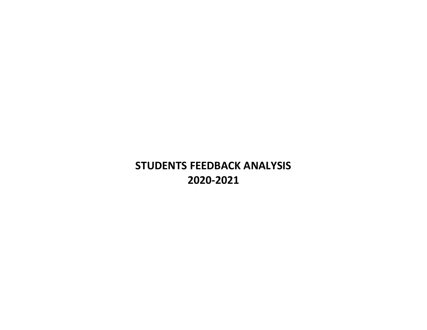## **STUDENTS FEEDBACK ANALYSIS 2020-2021**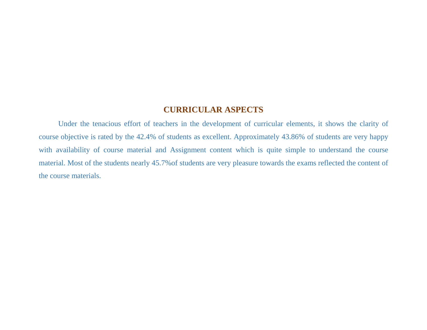#### **CURRICULAR ASPECTS**

Under the tenacious effort of teachers in the development of curricular elements, it shows the clarity of course objective is rated by the 42.4% of students as excellent. Approximately 43.86% of students are very happy with availability of course material and Assignment content which is quite simple to understand the course material. Most of the students nearly 45.7%of students are very pleasure towards the exams reflected the content of the course materials.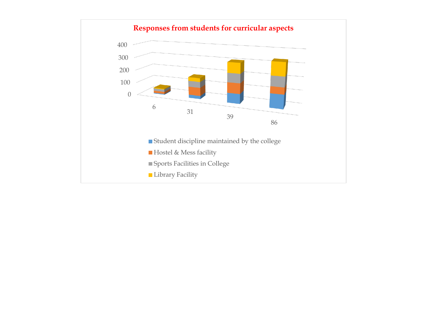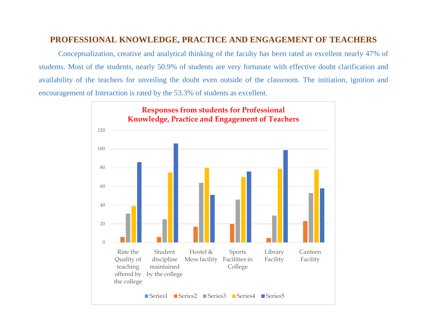#### **PROFESSIONAL KNOWLEDGE, PRACTICE AND ENGAGEMENT OF TEACHERS**

Conceptualization, creative and analytical thinking of the faculty has been rated as excellent nearly 47% of students. Most of the students, nearly 50.9% of students are very fortunate with effective doubt clarification and availability of the teachers for unveiling the doubt even outside of the classroom. The initiation, ignition and encouragement of Interaction is rated by the 53.3% of students as excellent.

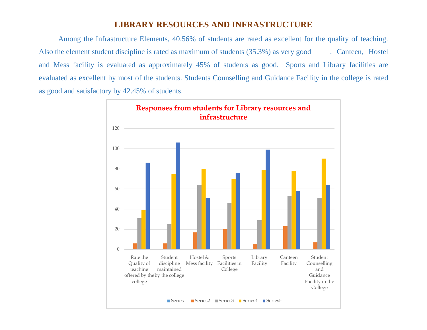#### **LIBRARY RESOURCES AND INFRASTRUCTURE**

Among the Infrastructure Elements, 40.56% of students are rated as excellent for the quality of teaching. Also the element student discipline is rated as maximum of students (35.3%) as very good . Canteen, Hostel and Mess facility is evaluated as approximately 45% of students as good. Sports and Library facilities are evaluated as excellent by most of the students. Students Counselling and Guidance Facility in the college is rated as good and satisfactory by 42.45% of students.

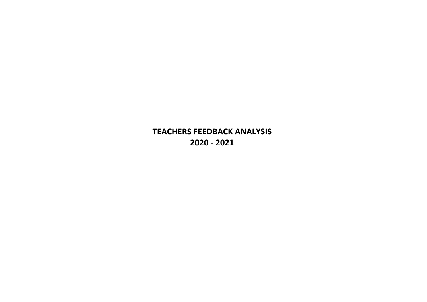**TEACHERS FEEDBACK ANALYSIS 2020 - 2021**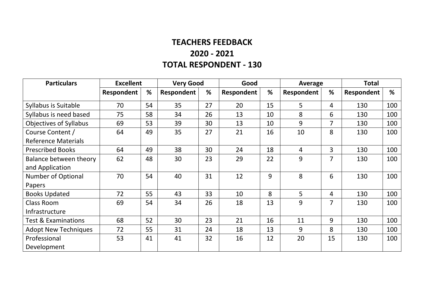#### **TEACHERS FEEDBACK 2020 - 2021 TOTAL RESPONDENT - 130**

| <b>Particulars</b>             | <b>Excellent</b> |    | <b>Very Good</b> |    | Good       |    | Average        |                | <b>Total</b> |     |
|--------------------------------|------------------|----|------------------|----|------------|----|----------------|----------------|--------------|-----|
|                                | Respondent       | %  | Respondent       | %  | Respondent | %  | Respondent     | %              | Respondent   | %   |
| Syllabus is Suitable           | 70               | 54 | 35               | 27 | 20         | 15 | 5              | 4              | 130          | 100 |
| Syllabus is need based         | 75               | 58 | 34               | 26 | 13         | 10 | 8              | 6              | 130          | 100 |
| <b>Objectives of Syllabus</b>  | 69               | 53 | 39               | 30 | 13         | 10 | 9              | 7              | 130          | 100 |
| Course Content /               | 64               | 49 | 35               | 27 | 21         | 16 | 10             | 8              | 130          | 100 |
| <b>Reference Materials</b>     |                  |    |                  |    |            |    |                |                |              |     |
| <b>Prescribed Books</b>        | 64               | 49 | 38               | 30 | 24         | 18 | $\overline{4}$ | $\overline{3}$ | 130          | 100 |
| Balance between theory         | 62               | 48 | 30               | 23 | 29         | 22 | 9              | 7              | 130          | 100 |
| and Application                |                  |    |                  |    |            |    |                |                |              |     |
| Number of Optional             | 70               | 54 | 40               | 31 | 12         | 9  | 8              | 6              | 130          | 100 |
| Papers                         |                  |    |                  |    |            |    |                |                |              |     |
| <b>Books Updated</b>           | 72               | 55 | 43               | 33 | 10         | 8  | 5              | 4              | 130          | 100 |
| <b>Class Room</b>              | 69               | 54 | 34               | 26 | 18         | 13 | 9              | 7              | 130          | 100 |
| Infrastructure                 |                  |    |                  |    |            |    |                |                |              |     |
| <b>Test &amp; Examinations</b> | 68               | 52 | 30               | 23 | 21         | 16 | 11             | 9              | 130          | 100 |
| <b>Adopt New Techniques</b>    | 72               | 55 | 31               | 24 | 18         | 13 | 9              | 8              | 130          | 100 |
| Professional                   | 53               | 41 | 41               | 32 | 16         | 12 | 20             | 15             | 130          | 100 |
| Development                    |                  |    |                  |    |            |    |                |                |              |     |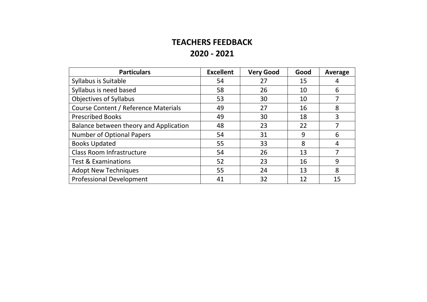### **TEACHERS FEEDBACK 2020 - 2021**

| <b>Particulars</b>                     | <b>Excellent</b> | <b>Very Good</b> | Good | Average |
|----------------------------------------|------------------|------------------|------|---------|
| Syllabus is Suitable                   | 54               | 27               | 15   |         |
| Syllabus is need based                 | 58               | 26               | 10   | 6       |
| <b>Objectives of Syllabus</b>          | 53               | 30               | 10   |         |
| Course Content / Reference Materials   | 49               | 27               | 16   | 8       |
| <b>Prescribed Books</b>                | 49               | 30               | 18   | 3       |
| Balance between theory and Application | 48               | 23               | 22   |         |
| <b>Number of Optional Papers</b>       | 54               | 31               | 9    | 6       |
| <b>Books Updated</b>                   | 55               | 33               | 8    | 4       |
| <b>Class Room Infrastructure</b>       | 54               | 26               | 13   | 7       |
| <b>Test &amp; Examinations</b>         | 52               | 23               | 16   | 9       |
| <b>Adopt New Techniques</b>            | 55               | 24               | 13   | 8       |
| <b>Professional Development</b>        | 41               | 32               |      | 15      |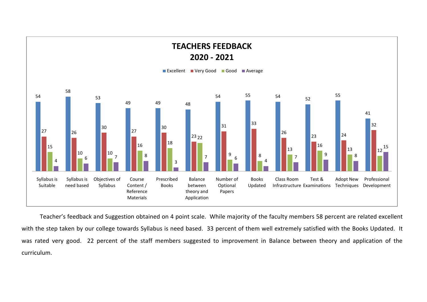

Teacher's feedback and Suggestion obtained on 4 point scale. While majority of the faculty members 58 percent are related excellent with the step taken by our college towards Syllabus is need based. 33 percent of them well extremely satisfied with the Books Updated. It was rated very good. 22 percent of the staff members suggested to improvement in Balance between theory and application of the curriculum.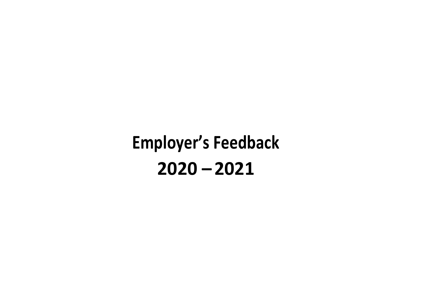# **Employer's Feedback 2020 – 2021**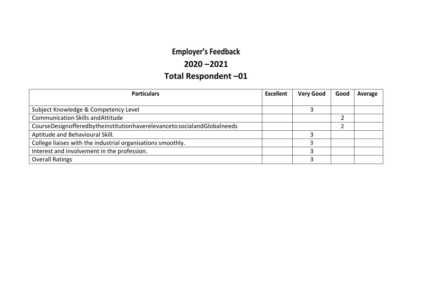## **Employer's Feedback**

#### **2020 –2021**

## **Total Respondent –01**

| <b>Particulars</b>                                                      |  | <b>Very Good</b> | Good | Average |
|-------------------------------------------------------------------------|--|------------------|------|---------|
|                                                                         |  |                  |      |         |
| Subject Knowledge & Competency Level                                    |  |                  |      |         |
| <b>Communication Skills and Attitude</b>                                |  |                  |      |         |
| CourseDesignofferedbytheinstitutionhaverelevanceto socialandGlobalneeds |  |                  |      |         |
| Aptitude and Behavioural Skill.                                         |  |                  |      |         |
| College liaises with the industrial organisations smoothly.             |  |                  |      |         |
| Interest and involvement in the profession.                             |  |                  |      |         |
| <b>Overall Ratings</b>                                                  |  |                  |      |         |